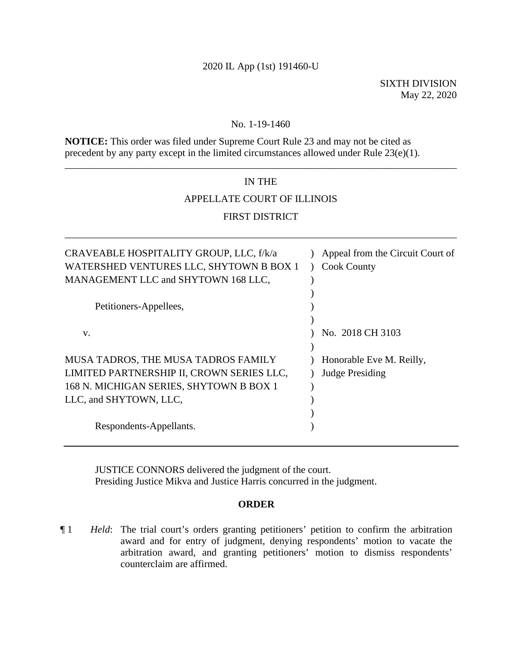### 2020 IL App (1st) 191460-U

#### No. 1-19-1460

**NOTICE:** This order was filed under Supreme Court Rule 23 and may not be cited as precedent by any party except in the limited circumstances allowed under Rule 23(e)(1).

# IN THE APPELLATE COURT OF ILLINOIS FIRST DISTRICT

\_\_\_\_\_\_\_\_\_\_\_\_\_\_\_\_\_\_\_\_\_\_\_\_\_\_\_\_\_\_\_\_\_\_\_\_\_\_\_\_\_\_\_\_\_\_\_\_\_\_\_\_\_\_\_\_\_\_\_\_\_\_\_\_\_\_\_\_\_\_\_\_\_\_\_\_\_\_

\_\_\_\_\_\_\_\_\_\_\_\_\_\_\_\_\_\_\_\_\_\_\_\_\_\_\_\_\_\_\_\_\_\_\_\_\_\_\_\_\_\_\_\_\_\_\_\_\_\_\_\_\_\_\_\_\_\_\_\_\_\_\_\_\_\_\_\_\_\_\_\_\_\_\_\_\_\_

| CRAVEABLE HOSPITALITY GROUP, LLC, f/k/a<br>WATERSHED VENTURES LLC, SHYTOWN B BOX 1<br>MANAGEMENT LLC and SHYTOWN 168 LLC,                             | Appeal from the Circuit Court of<br><b>Cook County</b> |
|-------------------------------------------------------------------------------------------------------------------------------------------------------|--------------------------------------------------------|
| Petitioners-Appellees,                                                                                                                                |                                                        |
| V.                                                                                                                                                    | No. 2018 CH 3103                                       |
| MUSA TADROS, THE MUSA TADROS FAMILY<br>LIMITED PARTNERSHIP II, CROWN SERIES LLC,<br>168 N. MICHIGAN SERIES, SHYTOWN B BOX 1<br>LLC, and SHYTOWN, LLC, | Honorable Eve M. Reilly,<br><b>Judge Presiding</b>     |
| Respondents-Appellants.                                                                                                                               |                                                        |

JUSTICE CONNORS delivered the judgment of the court. Presiding Justice Mikva and Justice Harris concurred in the judgment.

### **ORDER**

¶ 1 *Held*: The trial court's orders granting petitioners' petition to confirm the arbitration award and for entry of judgment, denying respondents' motion to vacate the arbitration award, and granting petitioners' motion to dismiss respondents' counterclaim are affirmed.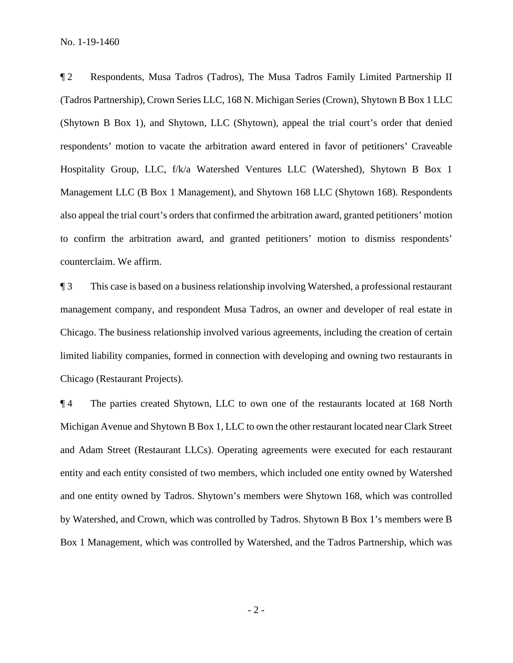¶ 2 Respondents, Musa Tadros (Tadros), The Musa Tadros Family Limited Partnership II (Tadros Partnership), Crown Series LLC, 168 N. Michigan Series (Crown), Shytown B Box 1 LLC (Shytown B Box 1), and Shytown, LLC (Shytown), appeal the trial court's order that denied respondents' motion to vacate the arbitration award entered in favor of petitioners' Craveable Hospitality Group, LLC, f/k/a Watershed Ventures LLC (Watershed), Shytown B Box 1 Management LLC (B Box 1 Management), and Shytown 168 LLC (Shytown 168). Respondents also appeal the trial court's orders that confirmed the arbitration award, granted petitioners' motion to confirm the arbitration award, and granted petitioners' motion to dismiss respondents' counterclaim. We affirm.

¶ 3 This case is based on a business relationship involving Watershed, a professional restaurant management company, and respondent Musa Tadros, an owner and developer of real estate in Chicago. The business relationship involved various agreements, including the creation of certain limited liability companies, formed in connection with developing and owning two restaurants in Chicago (Restaurant Projects).

¶ 4 The parties created Shytown, LLC to own one of the restaurants located at 168 North Michigan Avenue and Shytown B Box 1, LLC to own the other restaurant located near Clark Street and Adam Street (Restaurant LLCs). Operating agreements were executed for each restaurant entity and each entity consisted of two members, which included one entity owned by Watershed and one entity owned by Tadros. Shytown's members were Shytown 168, which was controlled by Watershed, and Crown, which was controlled by Tadros. Shytown B Box 1's members were B Box 1 Management, which was controlled by Watershed, and the Tadros Partnership, which was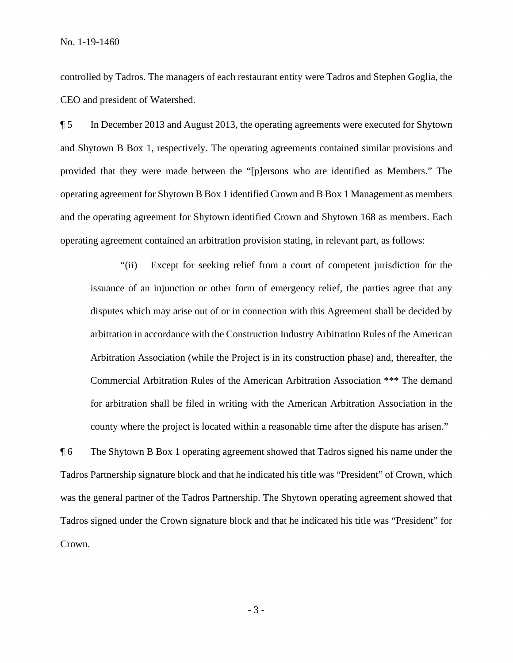controlled by Tadros. The managers of each restaurant entity were Tadros and Stephen Goglia, the CEO and president of Watershed.

¶ 5 In December 2013 and August 2013, the operating agreements were executed for Shytown and Shytown B Box 1, respectively. The operating agreements contained similar provisions and provided that they were made between the "[p]ersons who are identified as Members." The operating agreement for Shytown B Box 1 identified Crown and B Box 1 Management as members and the operating agreement for Shytown identified Crown and Shytown 168 as members. Each operating agreement contained an arbitration provision stating, in relevant part, as follows:

 "(ii) Except for seeking relief from a court of competent jurisdiction for the issuance of an injunction or other form of emergency relief, the parties agree that any disputes which may arise out of or in connection with this Agreement shall be decided by arbitration in accordance with the Construction Industry Arbitration Rules of the American Arbitration Association (while the Project is in its construction phase) and, thereafter, the Commercial Arbitration Rules of the American Arbitration Association \*\*\* The demand for arbitration shall be filed in writing with the American Arbitration Association in the county where the project is located within a reasonable time after the dispute has arisen."

¶ 6 The Shytown B Box 1 operating agreement showed that Tadros signed his name under the Tadros Partnership signature block and that he indicated his title was "President" of Crown, which was the general partner of the Tadros Partnership. The Shytown operating agreement showed that Tadros signed under the Crown signature block and that he indicated his title was "President" for Crown.

- 3 -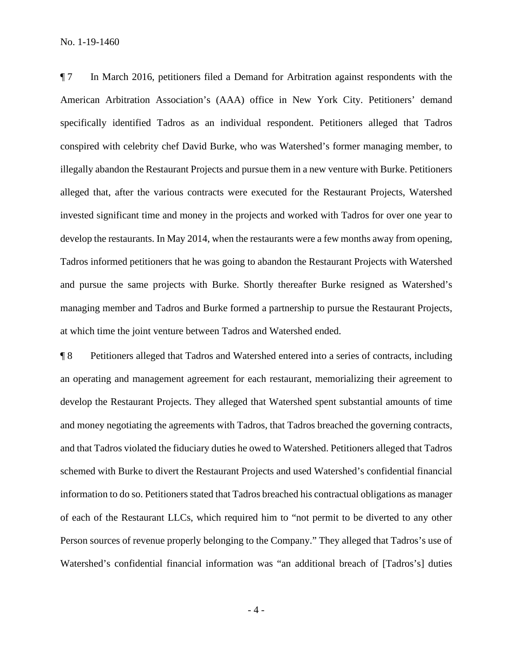¶ 7 In March 2016, petitioners filed a Demand for Arbitration against respondents with the American Arbitration Association's (AAA) office in New York City. Petitioners' demand specifically identified Tadros as an individual respondent. Petitioners alleged that Tadros conspired with celebrity chef David Burke, who was Watershed's former managing member, to illegally abandon the Restaurant Projects and pursue them in a new venture with Burke. Petitioners alleged that, after the various contracts were executed for the Restaurant Projects, Watershed invested significant time and money in the projects and worked with Tadros for over one year to develop the restaurants. In May 2014, when the restaurants were a few months away from opening, Tadros informed petitioners that he was going to abandon the Restaurant Projects with Watershed and pursue the same projects with Burke. Shortly thereafter Burke resigned as Watershed's managing member and Tadros and Burke formed a partnership to pursue the Restaurant Projects, at which time the joint venture between Tadros and Watershed ended.

¶ 8 Petitioners alleged that Tadros and Watershed entered into a series of contracts, including an operating and management agreement for each restaurant, memorializing their agreement to develop the Restaurant Projects. They alleged that Watershed spent substantial amounts of time and money negotiating the agreements with Tadros, that Tadros breached the governing contracts, and that Tadros violated the fiduciary duties he owed to Watershed. Petitioners alleged that Tadros schemed with Burke to divert the Restaurant Projects and used Watershed's confidential financial information to do so. Petitioners stated that Tadros breached his contractual obligations as manager of each of the Restaurant LLCs, which required him to "not permit to be diverted to any other Person sources of revenue properly belonging to the Company." They alleged that Tadros's use of Watershed's confidential financial information was "an additional breach of [Tadros's] duties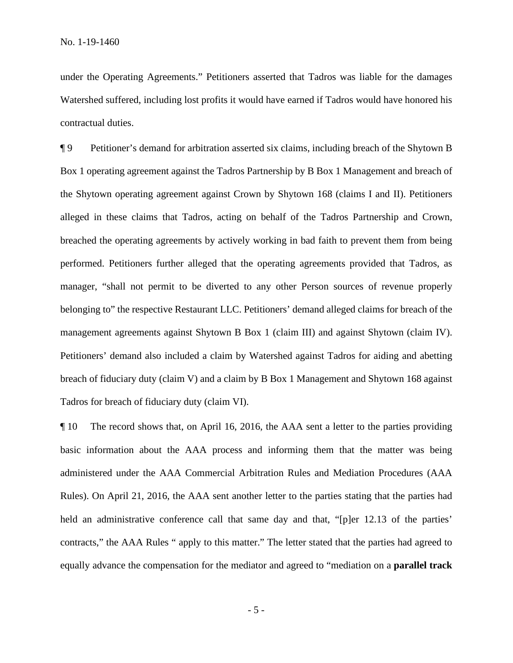under the Operating Agreements." Petitioners asserted that Tadros was liable for the damages Watershed suffered, including lost profits it would have earned if Tadros would have honored his contractual duties.

¶ 9 Petitioner's demand for arbitration asserted six claims, including breach of the Shytown B Box 1 operating agreement against the Tadros Partnership by B Box 1 Management and breach of the Shytown operating agreement against Crown by Shytown 168 (claims I and II). Petitioners alleged in these claims that Tadros, acting on behalf of the Tadros Partnership and Crown, breached the operating agreements by actively working in bad faith to prevent them from being performed. Petitioners further alleged that the operating agreements provided that Tadros, as manager, "shall not permit to be diverted to any other Person sources of revenue properly belonging to" the respective Restaurant LLC. Petitioners' demand alleged claims for breach of the management agreements against Shytown B Box 1 (claim III) and against Shytown (claim IV). Petitioners' demand also included a claim by Watershed against Tadros for aiding and abetting breach of fiduciary duty (claim V) and a claim by B Box 1 Management and Shytown 168 against Tadros for breach of fiduciary duty (claim VI).

¶ 10 The record shows that, on April 16, 2016, the AAA sent a letter to the parties providing basic information about the AAA process and informing them that the matter was being administered under the AAA Commercial Arbitration Rules and Mediation Procedures (AAA Rules). On April 21, 2016, the AAA sent another letter to the parties stating that the parties had held an administrative conference call that same day and that, "[p]er 12.13 of the parties' contracts," the AAA Rules " apply to this matter." The letter stated that the parties had agreed to equally advance the compensation for the mediator and agreed to "mediation on a **parallel track**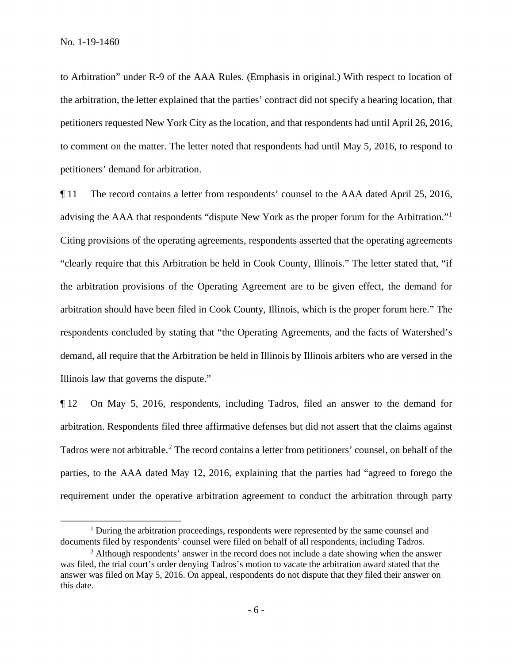to Arbitration" under R-9 of the AAA Rules. (Emphasis in original.) With respect to location of the arbitration, the letter explained that the parties' contract did not specify a hearing location, that petitioners requested New York City as the location, and that respondents had until April 26, 2016, to comment on the matter. The letter noted that respondents had until May 5, 2016, to respond to petitioners' demand for arbitration.

¶ 11 The record contains a letter from respondents' counsel to the AAA dated April 25, 2016, advising the AAA that respondents "dispute New York as the proper forum for the Arbitration."[1](#page-5-0) Citing provisions of the operating agreements, respondents asserted that the operating agreements "clearly require that this Arbitration be held in Cook County, Illinois." The letter stated that, "if the arbitration provisions of the Operating Agreement are to be given effect, the demand for arbitration should have been filed in Cook County, Illinois, which is the proper forum here." The respondents concluded by stating that "the Operating Agreements, and the facts of Watershed's demand, all require that the Arbitration be held in Illinois by Illinois arbiters who are versed in the Illinois law that governs the dispute."

¶ 12 On May 5, 2016, respondents, including Tadros, filed an answer to the demand for arbitration. Respondents filed three affirmative defenses but did not assert that the claims against Tadros were not arbitrable.<sup>[2](#page-5-1)</sup> The record contains a letter from petitioners' counsel, on behalf of the parties, to the AAA dated May 12, 2016, explaining that the parties had "agreed to forego the requirement under the operative arbitration agreement to conduct the arbitration through party

<span id="page-5-0"></span><sup>&</sup>lt;sup>1</sup> During the arbitration proceedings, respondents were represented by the same counsel and documents filed by respondents' counsel were filed on behalf of all respondents, including Tadros.<br><sup>2</sup> Although respondents' answer in the record does not include a date showing when the answer

<span id="page-5-1"></span>was filed, the trial court's order denying Tadros's motion to vacate the arbitration award stated that the answer was filed on May 5, 2016. On appeal, respondents do not dispute that they filed their answer on this date.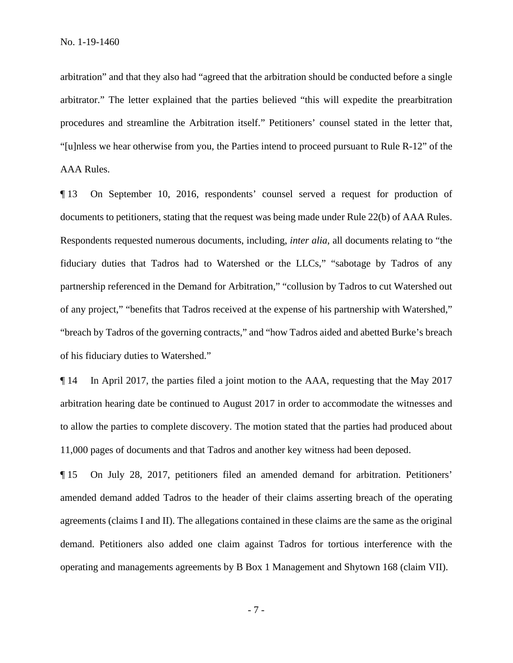arbitration" and that they also had "agreed that the arbitration should be conducted before a single arbitrator." The letter explained that the parties believed "this will expedite the prearbitration procedures and streamline the Arbitration itself." Petitioners' counsel stated in the letter that, "[u]nless we hear otherwise from you, the Parties intend to proceed pursuant to Rule R-12" of the AAA Rules.

¶ 13 On September 10, 2016, respondents' counsel served a request for production of documents to petitioners, stating that the request was being made under Rule 22(b) of AAA Rules. Respondents requested numerous documents, including, *inter alia*, all documents relating to "the fiduciary duties that Tadros had to Watershed or the LLCs," "sabotage by Tadros of any partnership referenced in the Demand for Arbitration," "collusion by Tadros to cut Watershed out of any project," "benefits that Tadros received at the expense of his partnership with Watershed," "breach by Tadros of the governing contracts," and "how Tadros aided and abetted Burke's breach of his fiduciary duties to Watershed."

¶ 14 In April 2017, the parties filed a joint motion to the AAA, requesting that the May 2017 arbitration hearing date be continued to August 2017 in order to accommodate the witnesses and to allow the parties to complete discovery. The motion stated that the parties had produced about 11,000 pages of documents and that Tadros and another key witness had been deposed.

¶ 15 On July 28, 2017, petitioners filed an amended demand for arbitration. Petitioners' amended demand added Tadros to the header of their claims asserting breach of the operating agreements (claims I and II). The allegations contained in these claims are the same as the original demand. Petitioners also added one claim against Tadros for tortious interference with the operating and managements agreements by B Box 1 Management and Shytown 168 (claim VII).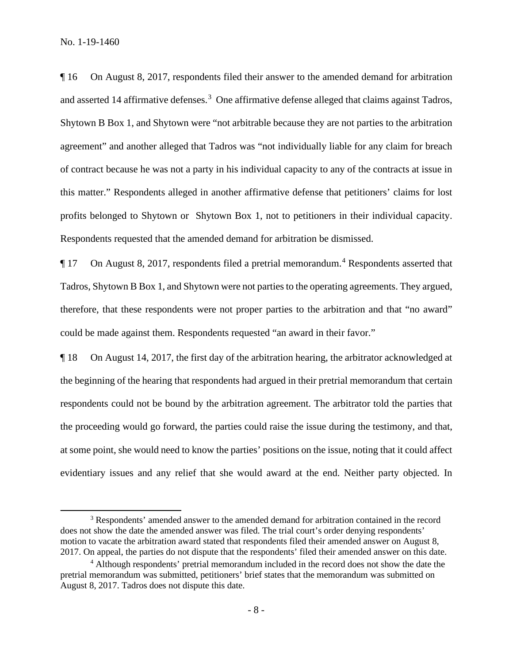¶ 16 On August 8, 2017, respondents filed their answer to the amended demand for arbitration and asserted 14 affirmative defenses.<sup>[3](#page-7-0)</sup> One affirmative defense alleged that claims against Tadros, Shytown B Box 1, and Shytown were "not arbitrable because they are not parties to the arbitration agreement" and another alleged that Tadros was "not individually liable for any claim for breach of contract because he was not a party in his individual capacity to any of the contracts at issue in this matter." Respondents alleged in another affirmative defense that petitioners' claims for lost profits belonged to Shytown or Shytown Box 1, not to petitioners in their individual capacity. Respondents requested that the amended demand for arbitration be dismissed.

 $\P$  17 On August 8, 2017, respondents filed a pretrial memorandum.<sup>[4](#page-7-1)</sup> Respondents asserted that Tadros, Shytown B Box 1, and Shytown were not parties to the operating agreements. They argued, therefore, that these respondents were not proper parties to the arbitration and that "no award" could be made against them. Respondents requested "an award in their favor."

¶ 18 On August 14, 2017, the first day of the arbitration hearing, the arbitrator acknowledged at the beginning of the hearing that respondents had argued in their pretrial memorandum that certain respondents could not be bound by the arbitration agreement. The arbitrator told the parties that the proceeding would go forward, the parties could raise the issue during the testimony, and that, at some point, she would need to know the parties' positions on the issue, noting that it could affect evidentiary issues and any relief that she would award at the end. Neither party objected. In

<span id="page-7-0"></span><sup>&</sup>lt;sup>3</sup> Respondents' amended answer to the amended demand for arbitration contained in the record does not show the date the amended answer was filed. The trial court's order denying respondents' motion to vacate the arbitration award stated that respondents filed their amended answer on August 8, 2017. On appeal, the parties do not dispute that the respondents' filed their amended answer on this date.

<span id="page-7-1"></span><sup>4</sup> Although respondents' pretrial memorandum included in the record does not show the date the pretrial memorandum was submitted, petitioners' brief states that the memorandum was submitted on August 8, 2017. Tadros does not dispute this date.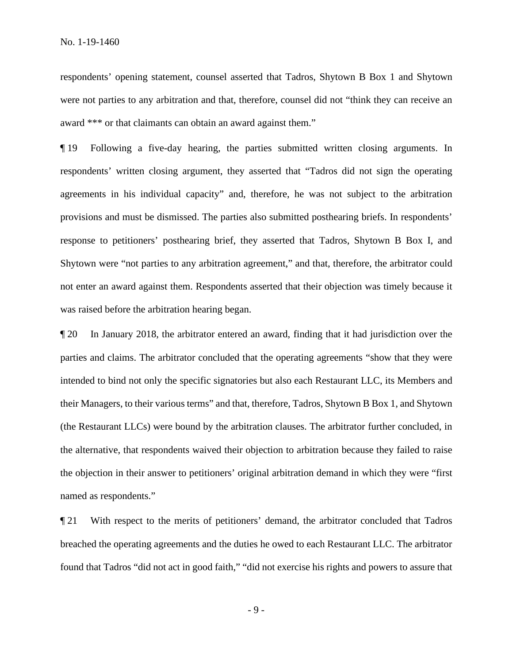respondents' opening statement, counsel asserted that Tadros, Shytown B Box 1 and Shytown were not parties to any arbitration and that, therefore, counsel did not "think they can receive an award \*\*\* or that claimants can obtain an award against them."

¶ 19 Following a five-day hearing, the parties submitted written closing arguments. In respondents' written closing argument, they asserted that "Tadros did not sign the operating agreements in his individual capacity" and, therefore, he was not subject to the arbitration provisions and must be dismissed. The parties also submitted posthearing briefs. In respondents' response to petitioners' posthearing brief, they asserted that Tadros, Shytown B Box I, and Shytown were "not parties to any arbitration agreement," and that, therefore, the arbitrator could not enter an award against them. Respondents asserted that their objection was timely because it was raised before the arbitration hearing began.

¶ 20 In January 2018, the arbitrator entered an award, finding that it had jurisdiction over the parties and claims. The arbitrator concluded that the operating agreements "show that they were intended to bind not only the specific signatories but also each Restaurant LLC, its Members and their Managers, to their various terms" and that, therefore, Tadros, Shytown B Box 1, and Shytown (the Restaurant LLCs) were bound by the arbitration clauses. The arbitrator further concluded, in the alternative, that respondents waived their objection to arbitration because they failed to raise the objection in their answer to petitioners' original arbitration demand in which they were "first named as respondents."

¶ 21 With respect to the merits of petitioners' demand, the arbitrator concluded that Tadros breached the operating agreements and the duties he owed to each Restaurant LLC. The arbitrator found that Tadros "did not act in good faith," "did not exercise his rights and powers to assure that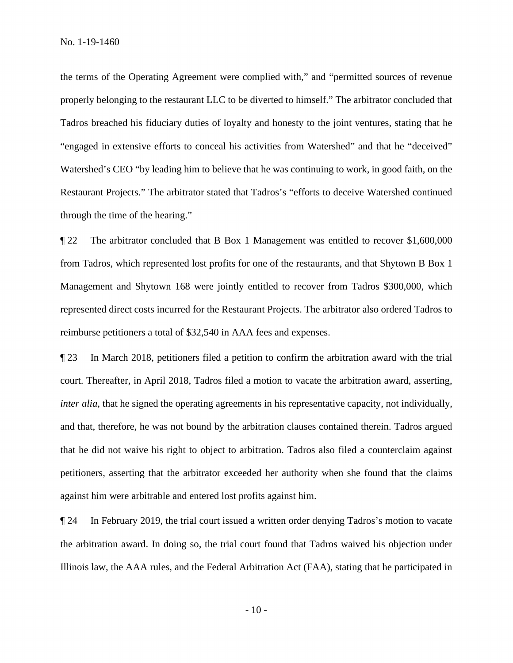the terms of the Operating Agreement were complied with," and "permitted sources of revenue properly belonging to the restaurant LLC to be diverted to himself." The arbitrator concluded that Tadros breached his fiduciary duties of loyalty and honesty to the joint ventures, stating that he "engaged in extensive efforts to conceal his activities from Watershed" and that he "deceived" Watershed's CEO "by leading him to believe that he was continuing to work, in good faith, on the Restaurant Projects." The arbitrator stated that Tadros's "efforts to deceive Watershed continued through the time of the hearing."

¶ 22 The arbitrator concluded that B Box 1 Management was entitled to recover \$1,600,000 from Tadros, which represented lost profits for one of the restaurants, and that Shytown B Box 1 Management and Shytown 168 were jointly entitled to recover from Tadros \$300,000, which represented direct costs incurred for the Restaurant Projects. The arbitrator also ordered Tadros to reimburse petitioners a total of \$32,540 in AAA fees and expenses.

¶ 23 In March 2018, petitioners filed a petition to confirm the arbitration award with the trial court. Thereafter, in April 2018, Tadros filed a motion to vacate the arbitration award, asserting, *inter alia*, that he signed the operating agreements in his representative capacity, not individually, and that, therefore, he was not bound by the arbitration clauses contained therein. Tadros argued that he did not waive his right to object to arbitration. Tadros also filed a counterclaim against petitioners, asserting that the arbitrator exceeded her authority when she found that the claims against him were arbitrable and entered lost profits against him.

¶ 24 In February 2019, the trial court issued a written order denying Tadros's motion to vacate the arbitration award. In doing so, the trial court found that Tadros waived his objection under Illinois law, the AAA rules, and the Federal Arbitration Act (FAA), stating that he participated in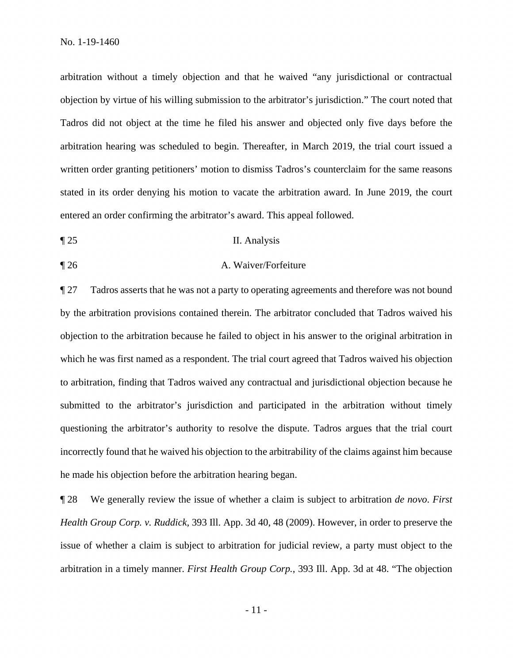arbitration without a timely objection and that he waived "any jurisdictional or contractual objection by virtue of his willing submission to the arbitrator's jurisdiction." The court noted that Tadros did not object at the time he filed his answer and objected only five days before the arbitration hearing was scheduled to begin. Thereafter, in March 2019, the trial court issued a written order granting petitioners' motion to dismiss Tadros's counterclaim for the same reasons stated in its order denying his motion to vacate the arbitration award. In June 2019, the court entered an order confirming the arbitrator's award. This appeal followed.

- ¶ 25 II. Analysis
- ¶ 26 A. Waiver/Forfeiture

¶ 27 Tadros asserts that he was not a party to operating agreements and therefore was not bound by the arbitration provisions contained therein. The arbitrator concluded that Tadros waived his objection to the arbitration because he failed to object in his answer to the original arbitration in which he was first named as a respondent. The trial court agreed that Tadros waived his objection to arbitration, finding that Tadros waived any contractual and jurisdictional objection because he submitted to the arbitrator's jurisdiction and participated in the arbitration without timely questioning the arbitrator's authority to resolve the dispute. Tadros argues that the trial court incorrectly found that he waived his objection to the arbitrability of the claims against him because he made his objection before the arbitration hearing began.

¶ 28 We generally review the issue of whether a claim is subject to arbitration *de novo*. *First Health Group Corp. v. Ruddick,* 393 Ill. App. 3d 40, 48 (2009). However, in order to preserve the issue of whether a claim is subject to arbitration for judicial review, a party must object to the arbitration in a timely manner. *First Health Group Corp.*, 393 Ill. App. 3d at 48. "The objection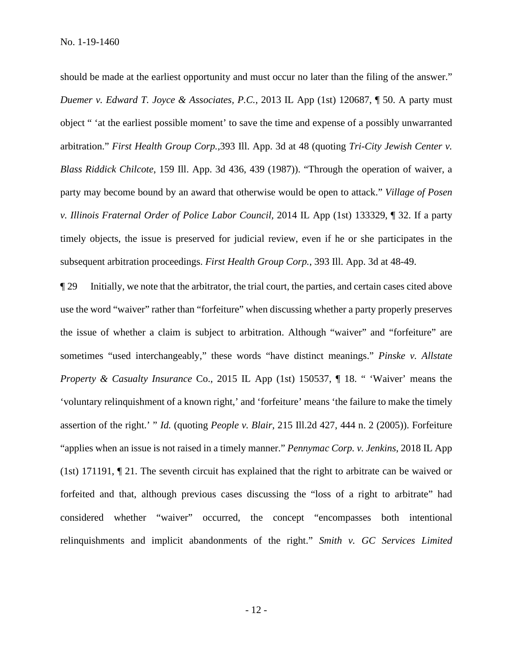should be made at the earliest opportunity and must occur no later than the filing of the answer." *Duemer v. Edward T. Joyce & Associates, P.C.*, 2013 IL App (1st) 120687, ¶ 50. A party must object " 'at the earliest possible moment' to save the time and expense of a possibly unwarranted arbitration." *First Health Group Corp.,*393 Ill. App. 3d at 48 (quoting *Tri-City Jewish Center v. Blass Riddick Chilcote*, 159 Ill. App. 3d 436, 439 (1987)). "Through the operation of waiver, a party may become bound by an award that otherwise would be open to attack." *Village of Posen v. Illinois Fraternal Order of Police Labor Council,* 2014 IL App (1st) 133329, ¶ 32. If a party timely objects, the issue is preserved for judicial review, even if he or she participates in the subsequent arbitration proceedings. *First Health Group Corp.*, 393 Ill. App. 3d at 48-49.

¶ 29 Initially, we note that the arbitrator, the trial court, the parties, and certain cases cited above use the word "waiver" rather than "forfeiture" when discussing whether a party properly preserves the issue of whether a claim is subject to arbitration. Although "waiver" and "forfeiture" are sometimes "used interchangeably," these words "have distinct meanings." *Pinske v. Allstate Property & Casualty Insurance* Co., 2015 IL App (1st) 150537, ¶ 18. " 'Waiver' means the 'voluntary relinquishment of a known right,' and 'forfeiture' means 'the failure to make the timely assertion of the right.' " *Id.* (quoting *People v. Blair*, 215 Ill.2d 427, 444 n. 2 (2005)). Forfeiture "applies when an issue is not raised in a timely manner." *Pennymac Corp. v. Jenkins*, 2018 IL App (1st) 171191, ¶ 21. The seventh circuit has explained that the right to arbitrate can be waived or forfeited and that, although previous cases discussing the "loss of a right to arbitrate" had considered whether "waiver" occurred, the concept "encompasses both intentional relinquishments and implicit abandonments of the right." *Smith v. GC Services Limited*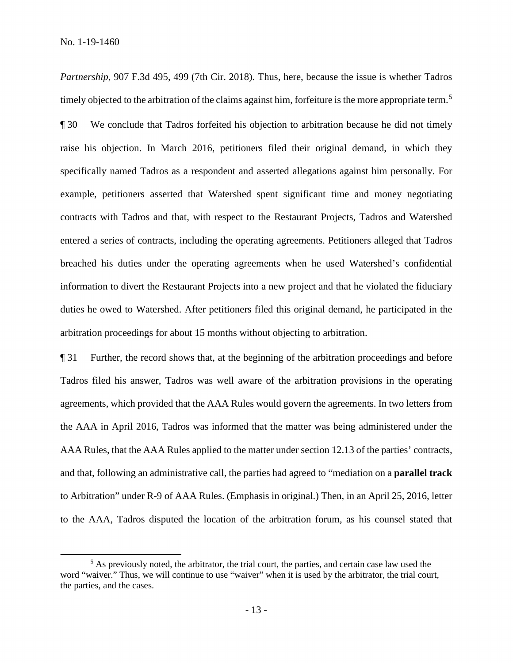*Partnership*, 907 F.3d 495, 499 (7th Cir. 2018). Thus, here, because the issue is whether Tadros timely objected to the arbitration of the claims against him, forfeiture is the more appropriate term.<sup>[5](#page-12-0)</sup> ¶ 30 We conclude that Tadros forfeited his objection to arbitration because he did not timely raise his objection. In March 2016, petitioners filed their original demand, in which they specifically named Tadros as a respondent and asserted allegations against him personally. For example, petitioners asserted that Watershed spent significant time and money negotiating contracts with Tadros and that, with respect to the Restaurant Projects, Tadros and Watershed entered a series of contracts, including the operating agreements. Petitioners alleged that Tadros breached his duties under the operating agreements when he used Watershed's confidential information to divert the Restaurant Projects into a new project and that he violated the fiduciary duties he owed to Watershed. After petitioners filed this original demand, he participated in the arbitration proceedings for about 15 months without objecting to arbitration.

¶ 31 Further, the record shows that, at the beginning of the arbitration proceedings and before Tadros filed his answer, Tadros was well aware of the arbitration provisions in the operating agreements, which provided that the AAA Rules would govern the agreements. In two letters from the AAA in April 2016, Tadros was informed that the matter was being administered under the AAA Rules, that the AAA Rules applied to the matter under section 12.13 of the parties' contracts, and that, following an administrative call, the parties had agreed to "mediation on a **parallel track**  to Arbitration" under R-9 of AAA Rules. (Emphasis in original.) Then, in an April 25, 2016, letter to the AAA, Tadros disputed the location of the arbitration forum, as his counsel stated that

<span id="page-12-0"></span> $<sup>5</sup>$  As previously noted, the arbitrator, the trial court, the parties, and certain case law used the</sup> word "waiver." Thus, we will continue to use "waiver" when it is used by the arbitrator, the trial court, the parties, and the cases.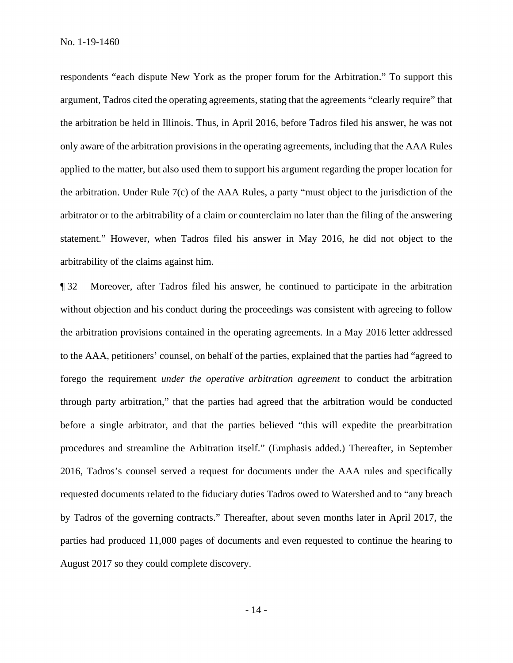respondents "each dispute New York as the proper forum for the Arbitration." To support this argument, Tadros cited the operating agreements, stating that the agreements "clearly require" that the arbitration be held in Illinois. Thus, in April 2016, before Tadros filed his answer, he was not only aware of the arbitration provisions in the operating agreements, including that the AAA Rules applied to the matter, but also used them to support his argument regarding the proper location for the arbitration. Under Rule 7(c) of the AAA Rules, a party "must object to the jurisdiction of the arbitrator or to the arbitrability of a claim or counterclaim no later than the filing of the answering statement." However, when Tadros filed his answer in May 2016, he did not object to the arbitrability of the claims against him.

¶ 32 Moreover, after Tadros filed his answer, he continued to participate in the arbitration without objection and his conduct during the proceedings was consistent with agreeing to follow the arbitration provisions contained in the operating agreements. In a May 2016 letter addressed to the AAA, petitioners' counsel, on behalf of the parties, explained that the parties had "agreed to forego the requirement *under the operative arbitration agreement* to conduct the arbitration through party arbitration," that the parties had agreed that the arbitration would be conducted before a single arbitrator, and that the parties believed "this will expedite the prearbitration procedures and streamline the Arbitration itself." (Emphasis added.) Thereafter, in September 2016, Tadros's counsel served a request for documents under the AAA rules and specifically requested documents related to the fiduciary duties Tadros owed to Watershed and to "any breach by Tadros of the governing contracts." Thereafter, about seven months later in April 2017, the parties had produced 11,000 pages of documents and even requested to continue the hearing to August 2017 so they could complete discovery.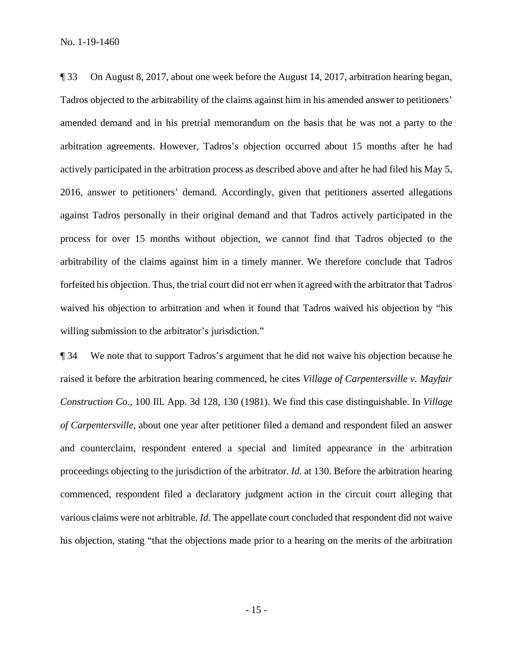¶ 33 On August 8, 2017, about one week before the August 14, 2017, arbitration hearing began, Tadros objected to the arbitrability of the claims against him in his amended answer to petitioners' amended demand and in his pretrial memorandum on the basis that he was not a party to the arbitration agreements. However, Tadros's objection occurred about 15 months after he had actively participated in the arbitration process as described above and after he had filed his May 5, 2016, answer to petitioners' demand. Accordingly, given that petitioners asserted allegations against Tadros personally in their original demand and that Tadros actively participated in the process for over 15 months without objection, we cannot find that Tadros objected to the arbitrability of the claims against him in a timely manner. We therefore conclude that Tadros forfeited his objection. Thus, the trial court did not err when it agreed with the arbitrator that Tadros waived his objection to arbitration and when it found that Tadros waived his objection by "his willing submission to the arbitrator's jurisdiction."

¶ 34 We note that to support Tadros's argument that he did not waive his objection because he raised it before the arbitration hearing commenced, he cites *Village of Carpentersville v. Mayfair Construction Co.*, 100 Ill. App. 3d 128, 130 (1981). We find this case distinguishable. In *Village of Carpentersville*, about one year after petitioner filed a demand and respondent filed an answer and counterclaim, respondent entered a special and limited appearance in the arbitration proceedings objecting to the jurisdiction of the arbitrator. *Id.* at 130. Before the arbitration hearing commenced, respondent filed a declaratory judgment action in the circuit court alleging that various claims were not arbitrable. *Id.* The appellate court concluded that respondent did not waive his objection, stating "that the objections made prior to a hearing on the merits of the arbitration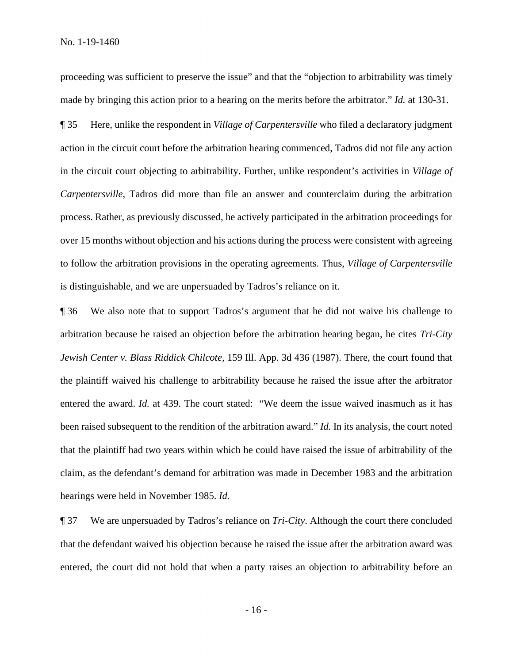proceeding was sufficient to preserve the issue" and that the "objection to arbitrability was timely made by bringing this action prior to a hearing on the merits before the arbitrator." *Id.* at 130-31.

¶ 35 Here, unlike the respondent in *Village of Carpentersville* who filed a declaratory judgment action in the circuit court before the arbitration hearing commenced, Tadros did not file any action in the circuit court objecting to arbitrability. Further, unlike respondent's activities in *Village of Carpentersville*, Tadros did more than file an answer and counterclaim during the arbitration process. Rather, as previously discussed, he actively participated in the arbitration proceedings for over 15 months without objection and his actions during the process were consistent with agreeing to follow the arbitration provisions in the operating agreements. Thus, *Village of Carpentersville* is distinguishable, and we are unpersuaded by Tadros's reliance on it.

¶ 36 We also note that to support Tadros's argument that he did not waive his challenge to arbitration because he raised an objection before the arbitration hearing began, he cites *Tri-City Jewish Center v. Blass Riddick Chilcote,* 159 Ill. App. 3d 436 (1987). There, the court found that the plaintiff waived his challenge to arbitrability because he raised the issue after the arbitrator entered the award. *Id.* at 439. The court stated: "We deem the issue waived inasmuch as it has been raised subsequent to the rendition of the arbitration award." *Id.* In its analysis, the court noted that the plaintiff had two years within which he could have raised the issue of arbitrability of the claim, as the defendant's demand for arbitration was made in December 1983 and the arbitration hearings were held in November 1985. *Id.*

¶ 37 We are unpersuaded by Tadros's reliance on *Tri-City*. Although the court there concluded that the defendant waived his objection because he raised the issue after the arbitration award was entered, the court did not hold that when a party raises an objection to arbitrability before an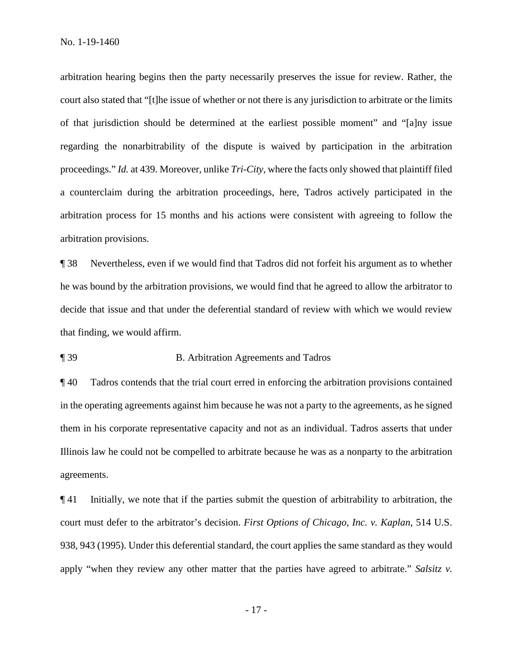arbitration hearing begins then the party necessarily preserves the issue for review. Rather, the court also stated that "[t]he issue of whether or not there is any jurisdiction to arbitrate or the limits of that jurisdiction should be determined at the earliest possible moment" and "[a]ny issue regarding the nonarbitrability of the dispute is waived by participation in the arbitration proceedings." *Id.* at 439. Moreover, unlike *Tri-City*, where the facts only showed that plaintiff filed a counterclaim during the arbitration proceedings, here, Tadros actively participated in the arbitration process for 15 months and his actions were consistent with agreeing to follow the arbitration provisions.

¶ 38 Nevertheless, even if we would find that Tadros did not forfeit his argument as to whether he was bound by the arbitration provisions, we would find that he agreed to allow the arbitrator to decide that issue and that under the deferential standard of review with which we would review that finding, we would affirm.

#### ¶ 39 B. Arbitration Agreements and Tadros

¶ 40 Tadros contends that the trial court erred in enforcing the arbitration provisions contained in the operating agreements against him because he was not a party to the agreements, as he signed them in his corporate representative capacity and not as an individual. Tadros asserts that under Illinois law he could not be compelled to arbitrate because he was as a nonparty to the arbitration agreements.

¶ 41 Initially, we note that if the parties submit the question of arbitrability to arbitration, the court must defer to the arbitrator's decision. *First Options of Chicago, Inc. v. Kaplan*, 514 U.S. 938, 943 (1995). Under this deferential standard, the court applies the same standard as they would apply "when they review any other matter that the parties have agreed to arbitrate." *Salsitz v.* 

- 17 -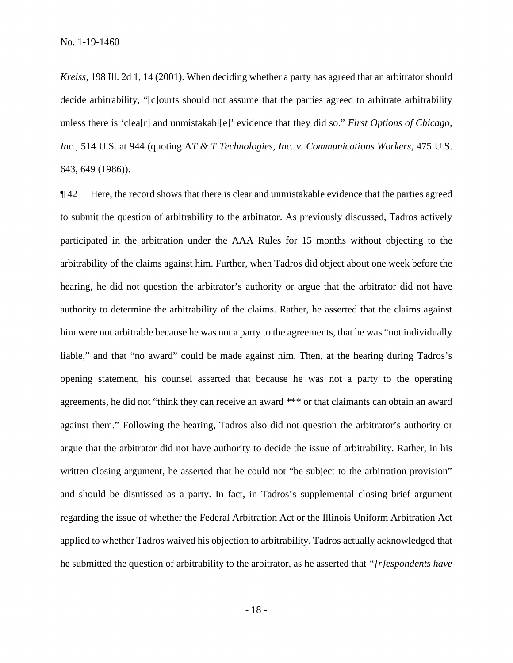*Kreiss*, 198 Ill. 2d 1, 14 (2001). When deciding whether a party has agreed that an arbitrator should decide arbitrability, "[c]ourts should not assume that the parties agreed to arbitrate arbitrability unless there is 'clea[r] and unmistakabl[e]' evidence that they did so." *First Options of Chicago, Inc.*, 514 U.S. at 944 (quoting A*T & T Technologies, Inc. v. Communications Workers*, 475 U.S. 643, 649 (1986)).

¶ 42 Here, the record shows that there is clear and unmistakable evidence that the parties agreed to submit the question of arbitrability to the arbitrator. As previously discussed, Tadros actively participated in the arbitration under the AAA Rules for 15 months without objecting to the arbitrability of the claims against him. Further, when Tadros did object about one week before the hearing, he did not question the arbitrator's authority or argue that the arbitrator did not have authority to determine the arbitrability of the claims. Rather, he asserted that the claims against him were not arbitrable because he was not a party to the agreements, that he was "not individually liable," and that "no award" could be made against him. Then, at the hearing during Tadros's opening statement, his counsel asserted that because he was not a party to the operating agreements, he did not "think they can receive an award \*\*\* or that claimants can obtain an award against them." Following the hearing, Tadros also did not question the arbitrator's authority or argue that the arbitrator did not have authority to decide the issue of arbitrability. Rather, in his written closing argument, he asserted that he could not "be subject to the arbitration provision" and should be dismissed as a party. In fact, in Tadros's supplemental closing brief argument regarding the issue of whether the Federal Arbitration Act or the Illinois Uniform Arbitration Act applied to whether Tadros waived his objection to arbitrability, Tadros actually acknowledged that he submitted the question of arbitrability to the arbitrator, as he asserted that *"[r]espondents have*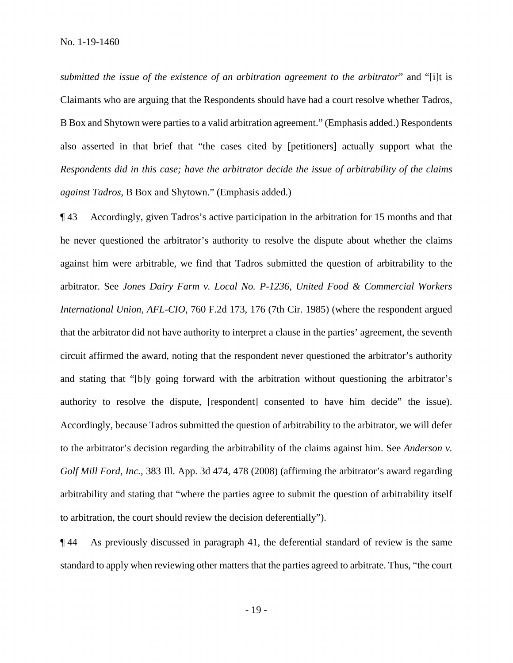*submitted the issue of the existence of an arbitration agreement to the arbitrator*" and "[i]t is Claimants who are arguing that the Respondents should have had a court resolve whether Tadros, B Box and Shytown were parties to a valid arbitration agreement." (Emphasis added.) Respondents also asserted in that brief that "the cases cited by [petitioners] actually support what the *Respondents did in this case; have the arbitrator decide the issue of arbitrability of the claims against Tadros*, B Box and Shytown." (Emphasis added.)

¶ 43 Accordingly, given Tadros's active participation in the arbitration for 15 months and that he never questioned the arbitrator's authority to resolve the dispute about whether the claims against him were arbitrable, we find that Tadros submitted the question of arbitrability to the arbitrator. See *Jones Dairy Farm v. Local No. P-1236, United Food & Commercial Workers International Union, AFL-CIO*, 760 F.2d 173, 176 (7th Cir. 1985) (where the respondent argued that the arbitrator did not have authority to interpret a clause in the parties' agreement, the seventh circuit affirmed the award, noting that the respondent never questioned the arbitrator's authority and stating that "[b]y going forward with the arbitration without questioning the arbitrator's authority to resolve the dispute, [respondent] consented to have him decide" the issue). Accordingly, because Tadros submitted the question of arbitrability to the arbitrator, we will defer to the arbitrator's decision regarding the arbitrability of the claims against him. See *Anderson v. Golf Mill Ford, Inc.*, 383 Ill. App. 3d 474, 478 (2008) (affirming the arbitrator's award regarding arbitrability and stating that "where the parties agree to submit the question of arbitrability itself to arbitration, the court should review the decision deferentially").

¶ 44 As previously discussed in paragraph 41, the deferential standard of review is the same standard to apply when reviewing other matters that the parties agreed to arbitrate. Thus, "the court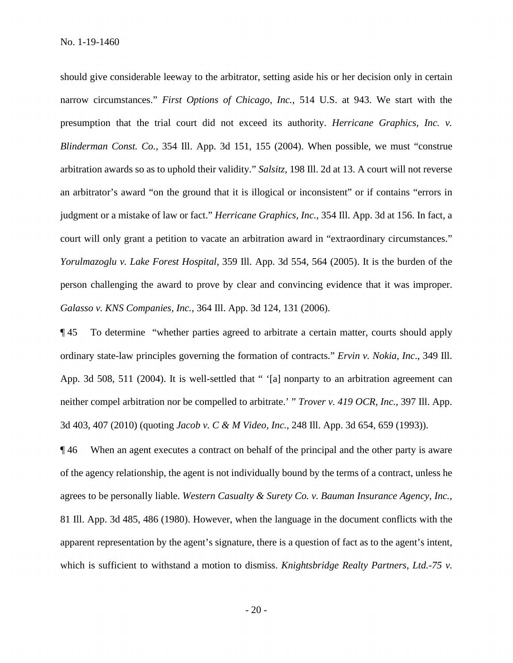should give considerable leeway to the arbitrator, setting aside his or her decision only in certain narrow circumstances." *First Options of Chicago, Inc.*, 514 U.S. at 943. We start with the presumption that the trial court did not exceed its authority. *Herricane Graphics, Inc. v. Blinderman Const. Co.*, 354 Ill. App. 3d 151, 155 (2004). When possible, we must "construe arbitration awards so as to uphold their validity." *Salsitz*, 198 Ill. 2d at 13. A court will not reverse an arbitrator's award "on the ground that it is illogical or inconsistent" or if contains "errors in judgment or a mistake of law or fact." *Herricane Graphics, Inc.*, 354 Ill. App. 3d at 156. In fact, a court will only grant a petition to vacate an arbitration award in "extraordinary circumstances." *Yorulmazoglu v. Lake Forest Hospital*, 359 Ill. App. 3d 554, 564 (2005). It is the burden of the person challenging the award to prove by clear and convincing evidence that it was improper. *Galasso v. KNS Companies, Inc.*, 364 Ill. App. 3d 124, 131 (2006).

¶ 45 To determine "whether parties agreed to arbitrate a certain matter, courts should apply ordinary state-law principles governing the formation of contracts." *Ervin v. Nokia, Inc*., 349 Ill. App. 3d 508, 511 (2004). It is well-settled that " '[a] nonparty to an arbitration agreement can neither compel arbitration nor be compelled to arbitrate.' " *Trover v. 419 OCR, Inc.*, 397 Ill. App. 3d 403, 407 (2010) (quoting *Jacob v. C & M Video, Inc.,* 248 Ill. App. 3d 654, 659 (1993)).

¶ 46 When an agent executes a contract on behalf of the principal and the other party is aware of the agency relationship, the agent is not individually bound by the terms of a contract, unless he agrees to be personally liable. *Western Casualty & Surety Co. v. Bauman Insurance Agency, Inc.*, 81 Ill. App. 3d 485, 486 (1980). However, when the language in the document conflicts with the apparent representation by the agent's signature, there is a question of fact as to the agent's intent, which is sufficient to withstand a motion to dismiss. *Knightsbridge Realty Partners, Ltd.-75 v.*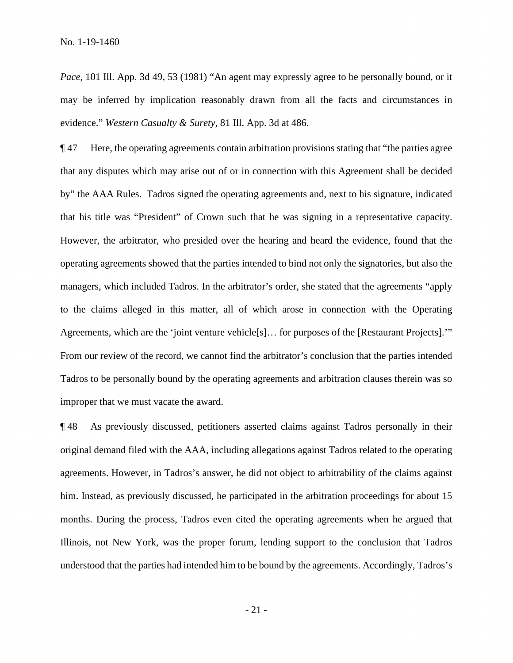*Pace*, 101 Ill. App. 3d 49, 53 (1981) "An agent may expressly agree to be personally bound, or it may be inferred by implication reasonably drawn from all the facts and circumstances in evidence." *Western Casualty & Surety*, 81 Ill. App. 3d at 486.

¶ 47 Here, the operating agreements contain arbitration provisions stating that "the parties agree that any disputes which may arise out of or in connection with this Agreement shall be decided by" the AAA Rules. Tadros signed the operating agreements and, next to his signature, indicated that his title was "President" of Crown such that he was signing in a representative capacity. However, the arbitrator, who presided over the hearing and heard the evidence, found that the operating agreements showed that the parties intended to bind not only the signatories, but also the managers, which included Tadros. In the arbitrator's order, she stated that the agreements "apply to the claims alleged in this matter, all of which arose in connection with the Operating Agreements, which are the 'joint venture vehicle[s]… for purposes of the [Restaurant Projects].'" From our review of the record, we cannot find the arbitrator's conclusion that the parties intended Tadros to be personally bound by the operating agreements and arbitration clauses therein was so improper that we must vacate the award.

¶ 48 As previously discussed, petitioners asserted claims against Tadros personally in their original demand filed with the AAA, including allegations against Tadros related to the operating agreements. However, in Tadros's answer, he did not object to arbitrability of the claims against him. Instead, as previously discussed, he participated in the arbitration proceedings for about 15 months. During the process, Tadros even cited the operating agreements when he argued that Illinois, not New York, was the proper forum, lending support to the conclusion that Tadros understood that the parties had intended him to be bound by the agreements. Accordingly, Tadros's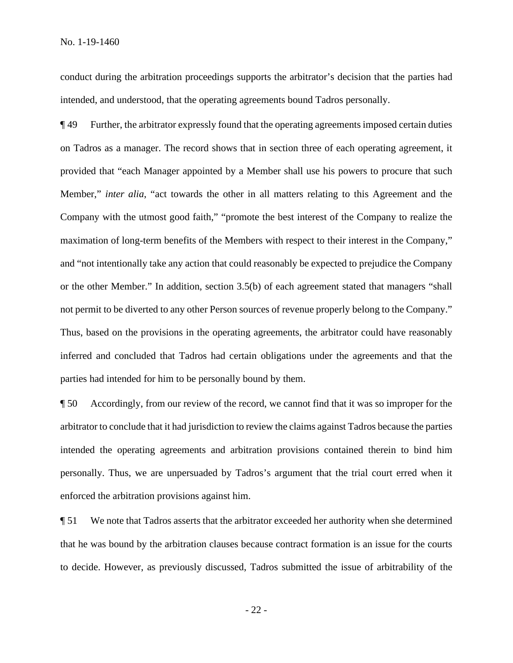conduct during the arbitration proceedings supports the arbitrator's decision that the parties had intended, and understood, that the operating agreements bound Tadros personally.

¶ 49 Further, the arbitrator expressly found that the operating agreements imposed certain duties on Tadros as a manager. The record shows that in section three of each operating agreement, it provided that "each Manager appointed by a Member shall use his powers to procure that such Member," *inter alia*, "act towards the other in all matters relating to this Agreement and the Company with the utmost good faith," "promote the best interest of the Company to realize the maximation of long-term benefits of the Members with respect to their interest in the Company," and "not intentionally take any action that could reasonably be expected to prejudice the Company or the other Member." In addition, section 3.5(b) of each agreement stated that managers "shall not permit to be diverted to any other Person sources of revenue properly belong to the Company." Thus, based on the provisions in the operating agreements, the arbitrator could have reasonably inferred and concluded that Tadros had certain obligations under the agreements and that the parties had intended for him to be personally bound by them.

¶ 50 Accordingly, from our review of the record, we cannot find that it was so improper for the arbitrator to conclude that it had jurisdiction to review the claims against Tadros because the parties intended the operating agreements and arbitration provisions contained therein to bind him personally. Thus, we are unpersuaded by Tadros's argument that the trial court erred when it enforced the arbitration provisions against him.

¶ 51 We note that Tadros asserts that the arbitrator exceeded her authority when she determined that he was bound by the arbitration clauses because contract formation is an issue for the courts to decide. However, as previously discussed, Tadros submitted the issue of arbitrability of the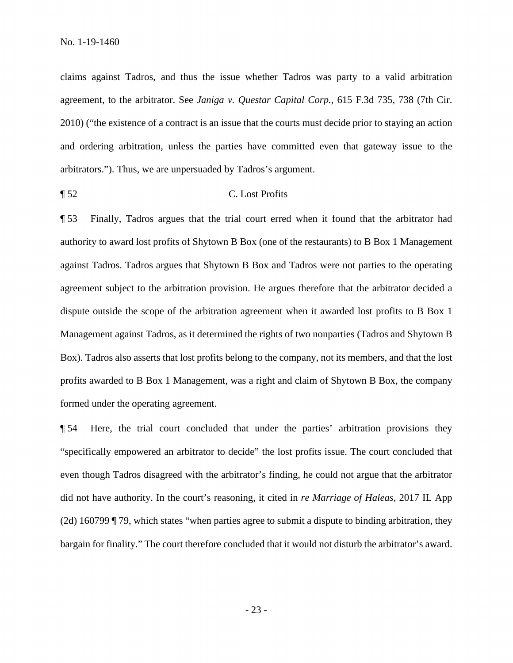claims against Tadros, and thus the issue whether Tadros was party to a valid arbitration agreement, to the arbitrator. See *Janiga v. Questar Capital Corp.*, 615 F.3d 735, 738 (7th Cir. 2010) ("the existence of a contract is an issue that the courts must decide prior to staying an action and ordering arbitration, unless the parties have committed even that gateway issue to the arbitrators."). Thus, we are unpersuaded by Tadros's argument.

## ¶ 52 C. Lost Profits

¶ 53 Finally, Tadros argues that the trial court erred when it found that the arbitrator had authority to award lost profits of Shytown B Box (one of the restaurants) to B Box 1 Management against Tadros. Tadros argues that Shytown B Box and Tadros were not parties to the operating agreement subject to the arbitration provision. He argues therefore that the arbitrator decided a dispute outside the scope of the arbitration agreement when it awarded lost profits to B Box 1 Management against Tadros, as it determined the rights of two nonparties (Tadros and Shytown B Box). Tadros also asserts that lost profits belong to the company, not its members, and that the lost profits awarded to B Box 1 Management, was a right and claim of Shytown B Box, the company formed under the operating agreement.

¶ 54 Here, the trial court concluded that under the parties' arbitration provisions they "specifically empowered an arbitrator to decide" the lost profits issue. The court concluded that even though Tadros disagreed with the arbitrator's finding, he could not argue that the arbitrator did not have authority. In the court's reasoning, it cited in *re Marriage of Haleas*, 2017 IL App (2d) 160799 ¶ 79, which states "when parties agree to submit a dispute to binding arbitration, they bargain for finality." The court therefore concluded that it would not disturb the arbitrator's award.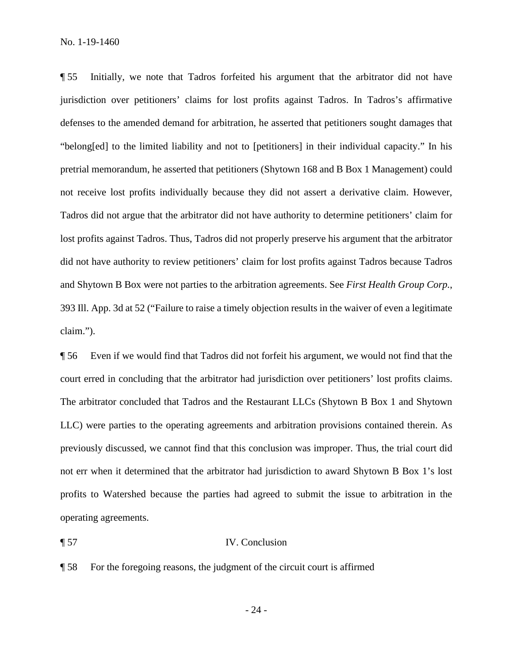¶ 55 Initially, we note that Tadros forfeited his argument that the arbitrator did not have jurisdiction over petitioners' claims for lost profits against Tadros. In Tadros's affirmative defenses to the amended demand for arbitration, he asserted that petitioners sought damages that "belong[ed] to the limited liability and not to [petitioners] in their individual capacity." In his pretrial memorandum, he asserted that petitioners (Shytown 168 and B Box 1 Management) could not receive lost profits individually because they did not assert a derivative claim. However, Tadros did not argue that the arbitrator did not have authority to determine petitioners' claim for lost profits against Tadros. Thus, Tadros did not properly preserve his argument that the arbitrator did not have authority to review petitioners' claim for lost profits against Tadros because Tadros and Shytown B Box were not parties to the arbitration agreements. See *First Health Group Corp.*, 393 Ill. App. 3d at 52 ("Failure to raise a timely objection results in the waiver of even a legitimate claim.").

¶ 56 Even if we would find that Tadros did not forfeit his argument, we would not find that the court erred in concluding that the arbitrator had jurisdiction over petitioners' lost profits claims. The arbitrator concluded that Tadros and the Restaurant LLCs (Shytown B Box 1 and Shytown LLC) were parties to the operating agreements and arbitration provisions contained therein. As previously discussed, we cannot find that this conclusion was improper. Thus, the trial court did not err when it determined that the arbitrator had jurisdiction to award Shytown B Box 1's lost profits to Watershed because the parties had agreed to submit the issue to arbitration in the operating agreements.

### ¶ 57 IV. Conclusion

¶ 58 For the foregoing reasons, the judgment of the circuit court is affirmed